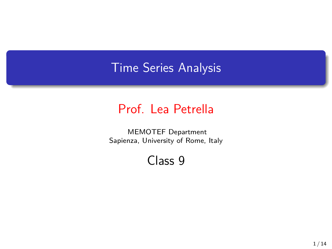## Time Series Analysis

## Prof. Lea Petrella

MEMOTEF Department Sapienza, University of Rome, Italy

Class 9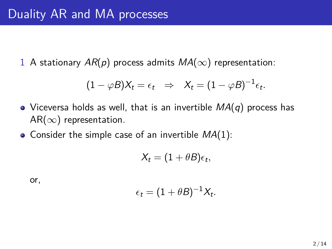1 A stationary  $AR(p)$  process admits  $MA(\infty)$  representation:

$$
(1 - \varphi B)X_t = \epsilon_t \Rightarrow X_t = (1 - \varphi B)^{-1} \epsilon_t.
$$

- Viceversa holds as well, that is an invertible *MA*(*q*) process has AR(*∞*) representation.
- Consider the simple case of an invertible *MA*(1):

$$
X_t = (1 + \theta B)\epsilon_t,
$$

or,

$$
\epsilon_t = (1 + \theta B)^{-1} X_t.
$$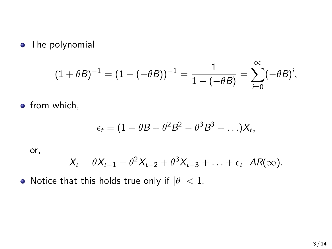**•** The polynomial

$$
(1+\theta B)^{-1} = (1 - (-\theta B))^{-1} = \frac{1}{1 - (-\theta B)} = \sum_{i=0}^{\infty} (-\theta B)^i,
$$

**•** from which,

$$
\epsilon_t = (1 - \theta B + \theta^2 B^2 - \theta^3 B^3 + \ldots) X_t,
$$

or,

$$
X_t = \theta X_{t-1} - \theta^2 X_{t-2} + \theta^3 X_{t-3} + \ldots + \epsilon_t AR(\infty).
$$

• Notice that this holds true only if  $|\theta|$  < 1.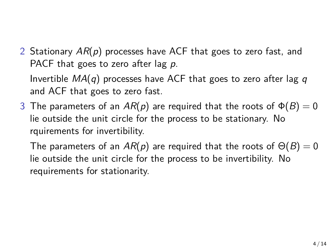2 Stationary *AR*(*p*) processes have ACF that goes to zero fast, and PACF that goes to zero after lag *p*.

Invertible *MA*(*q*) processes have ACF that goes to zero after lag *q* and ACF that goes to zero fast.

3 The parameters of an  $AR(p)$  are required that the roots of  $\Phi(B) = 0$ lie outside the unit circle for the process to be stationary. No rquirements for invertibility.

The parameters of an  $AR(p)$  are required that the roots of  $\Theta(B) = 0$ lie outside the unit circle for the process to be invertibility. No requirements for stationarity.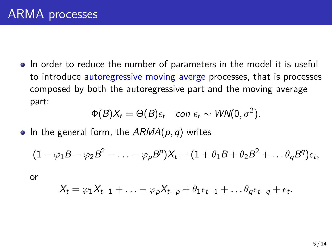• In order to reduce the number of parameters in the model it is useful to introduce autoregressive moving averge processes, that is processes composed by both the autoregressive part and the moving average part:

$$
\Phi(B)X_t = \Theta(B)\epsilon_t \quad \text{con } \epsilon_t \sim \text{WN}(0, \sigma^2).
$$

• In the general form, the  $ARMA(p, q)$  writes

$$
(1 - \varphi_1 B - \varphi_2 B^2 - \ldots - \varphi_p B^p)X_t = (1 + \theta_1 B + \theta_2 B^2 + \ldots \theta_q B^q)\epsilon_t,
$$

or

$$
X_t = \varphi_1 X_{t-1} + \ldots + \varphi_p X_{t-p} + \theta_1 \epsilon_{t-1} + \ldots \theta_q \epsilon_{t-q} + \epsilon_t.
$$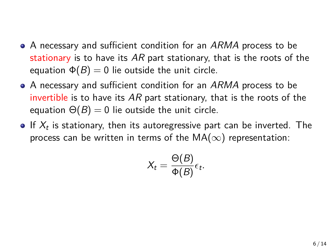- A necessary and sufficient condition for an *ARMA* process to be stationary is to have its *AR* part stationary, that is the roots of the equation  $\Phi(B) = 0$  lie outside the unit circle.
- A necessary and sufficient condition for an *ARMA* process to be invertible is to have its *AR* part stationary, that is the roots of the equation  $\Theta(B) = 0$  lie outside the unit circle.
- If *X<sup>t</sup>* is stationary, then its autoregressive part can be inverted. The process can be written in terms of the MA(*∞*) representation:

$$
X_t = \frac{\Theta(B)}{\Phi(B)} \epsilon_t.
$$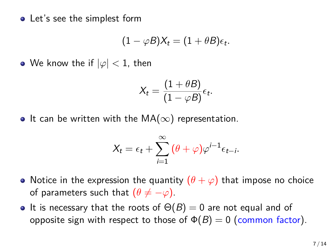• Let's see the simplest form

$$
(1 - \varphi B)X_t = (1 + \theta B)\epsilon_t.
$$

• We know the if  $|\varphi|$  < 1, then

$$
X_t = \frac{(1+\theta B)}{(1-\varphi B)} \epsilon_t.
$$

• It can be written with the  $MA(\infty)$  representation.

$$
X_t = \epsilon_t + \sum_{i=1}^{\infty} (\theta + \varphi) \varphi^{i-1} \epsilon_{t-i}.
$$

- Notice in the expression the quantity  $(\theta + \varphi)$  that impose no choice of parameters such that  $(\theta \neq -\varphi)$ .
- It is necessary that the roots of  $\Theta(B) = 0$  are not equal and of opposite sign with respect to those of  $\Phi(B) = 0$  (common factor).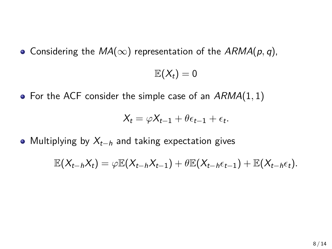$\bullet$  Considering the *MA*(∞) representation of the *ARMA*( $p$ *, q*),

 $\mathbb{E}(X_t)=0$ 

For the ACF consider the simple case of an *ARMA*(1*,* 1)

$$
X_t = \varphi X_{t-1} + \theta \epsilon_{t-1} + \epsilon_t.
$$

Multiplying by *Xt−<sup>h</sup>* and taking expectation gives

 $\mathbb{E}(X_{t-h}X_t)=\varphi \mathbb{E}(X_{t-h}X_{t-1})+\theta \mathbb{E}(X_{t-h}\epsilon_{t-1})+\mathbb{E}(X_{t-h}\epsilon_t).$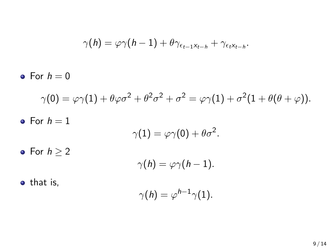$$
\gamma(h) = \varphi \gamma(h-1) + \theta \gamma_{\epsilon_{t-1}x_{t-h}} + \gamma_{\epsilon_t x_{t-h}}.
$$
\n• For  $h = 0$   
\n
$$
\gamma(0) = \varphi \gamma(1) + \theta \varphi \sigma^2 + \theta^2 \sigma^2 + \sigma^2 = \varphi \gamma(1) + \sigma^2 (1 + \theta(\theta + \varphi)).
$$
\n• For  $h = 1$   
\n
$$
\gamma(1) = \varphi \gamma(0) + \theta \sigma^2.
$$
\n• For  $h \ge 2$   
\n
$$
\gamma(h) = \varphi \gamma(h-1).
$$
\n• that is,  
\n
$$
\gamma(h) = \varphi^{h-1} \gamma(1).
$$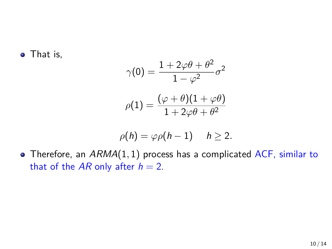• That is,

$$
\gamma(0) = \frac{1 + 2\varphi\theta + \theta^2}{1 - \varphi^2} \sigma^2
$$

$$
\rho(1) = \frac{(\varphi + \theta)(1 + \varphi\theta)}{1 + 2\varphi\theta + \theta^2}
$$

$$
\rho(h)=\varphi\rho(h-1)\quad h\geq 2.
$$

Therefore, an *ARMA*(1*,* 1) process has a complicated ACF, similar to that of the  $AR$  only after  $h = 2$ .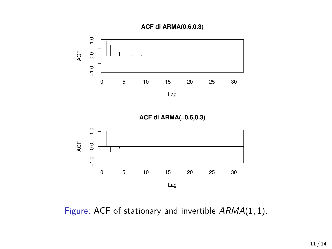



**ACF di ARMA(−0.6,0.3)**



Figure: ACF of stationary and invertible *ARMA*(1*,* 1).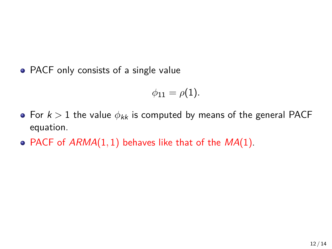• PACF only consists of a single value

$$
\phi_{11}=\rho(1).
$$

- For *k >* 1 the value *ϕkk* is computed by means of the general PACF equation.
- PACF of *ARMA*(1*,* 1) behaves like that of the *MA*(1).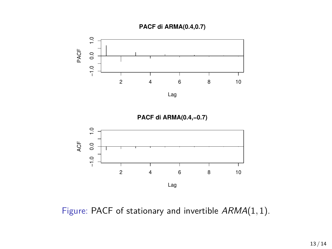





Figure: PACF of stationary and invertible *ARMA*(1*,* 1).